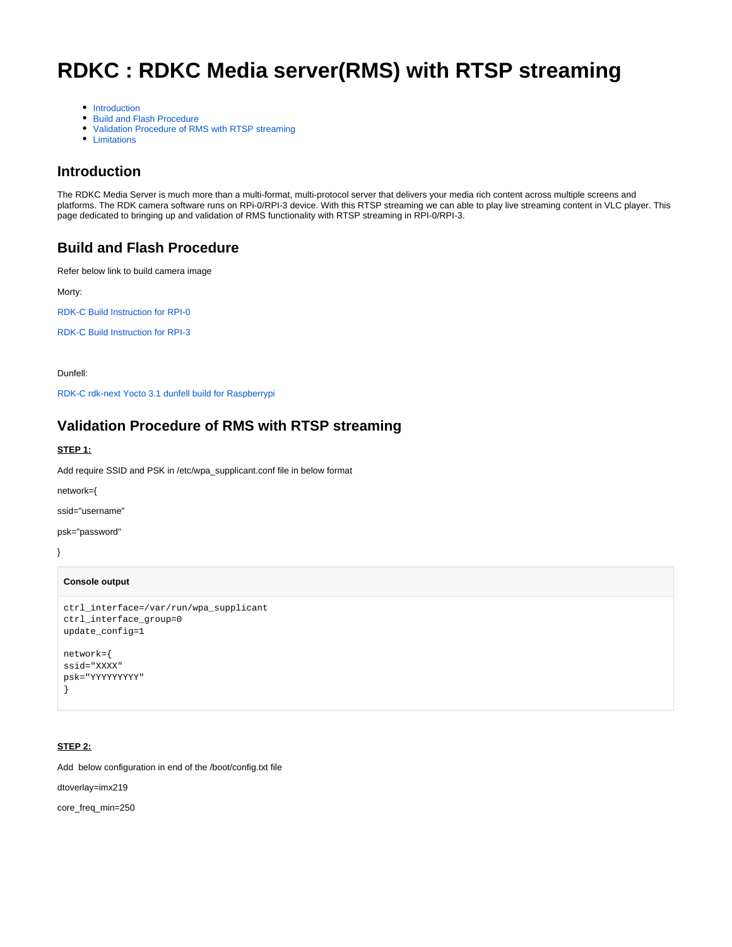# **RDKC : RDKC Media server(RMS) with RTSP streaming**

- [Introduction](#page-0-0)
- [Build and Flash Procedure](#page-0-1)
- [Validation Procedure of RMS with RTSP streaming](#page-0-2)
- [Limitations](#page-7-0)

# <span id="page-0-0"></span>**Introduction**

The RDKC Media Server is much more than a multi-format, multi-protocol server that delivers your media rich content across multiple screens and platforms. The RDK camera software runs on RPi-0/RPI-3 device. With this RTSP streaming we can able to play live streaming content in VLC player. This page dedicated to bringing up and validation of RMS functionality with RTSP streaming in RPI-0/RPI-3.

# <span id="page-0-1"></span>**Build and Flash Procedure**

Refer below link to build camera image

Morty:

[RDK-C Build Instruction for RPI-0](https://wiki.rdkcentral.com/display/RDK/RDK-C+Build+Instruction+for+RPI-0)

[RDK-C Build Instruction for RPI-3](https://wiki.rdkcentral.com/display/RDK/RDK-C+Build+Instruction+for+RPI-3)

Dunfell:

[RDK-C rdk-next Yocto 3.1 dunfell build for Raspberrypi](https://wiki.rdkcentral.com/display/RDK/RDK-C+rdk-next+Yocto+3.1+dunfell+build+for+Raspberrypi)

# <span id="page-0-2"></span>**Validation Procedure of RMS with RTSP streaming**

#### **STEP 1:**

Add require SSID and PSK in /etc/wpa\_supplicant.conf file in below format

network={

ssid="username"

psk="password"

```
}
```
# **Console output**

```
ctrl_interface=/var/run/wpa_supplicant
ctrl_interface_group=0
update_config=1
network={
ssid="XXXX"
psk="YYYYYYYYY"
}
```
# **STEP 2:**

Add below configuration in end of the /boot/config.txt file

dtoverlay=imx219

core\_freq\_min=250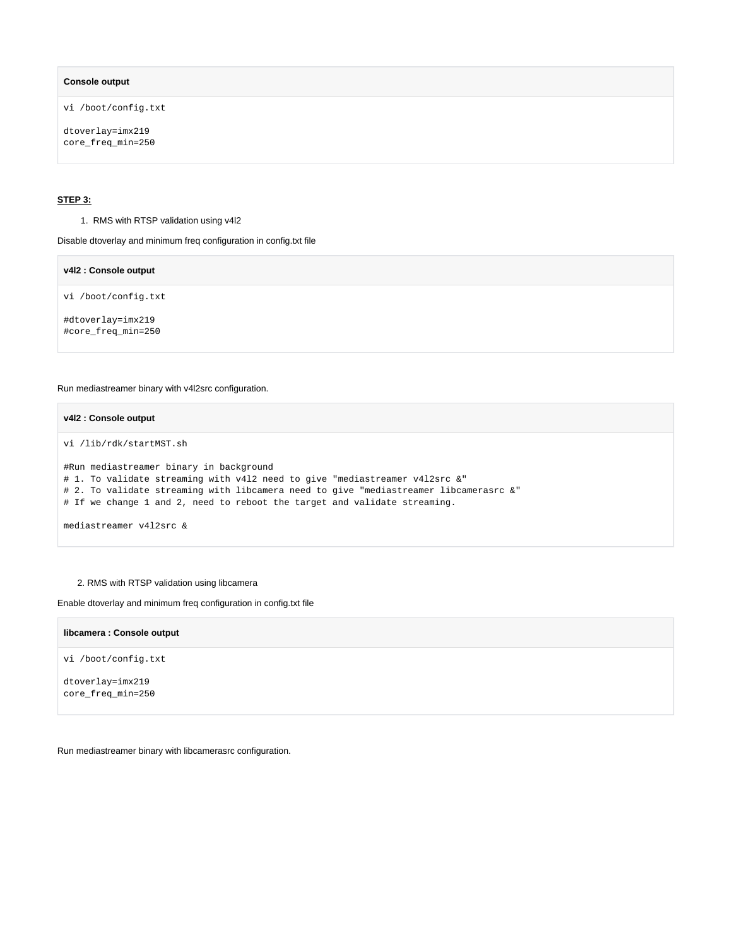#### **Console output**

vi /boot/config.txt

dtoverlay=imx219 core\_freq\_min=250

#### **STEP 3:**

1. RMS with RTSP validation using v4l2

Disable dtoverlay and minimum freq configuration in config.txt file

**v4l2 : Console output** vi /boot/config.txt #dtoverlay=imx219 #core\_freq\_min=250

Run mediastreamer binary with v4l2src configuration.

## **v4l2 : Console output**

vi /lib/rdk/startMST.sh

```
#Run mediastreamer binary in background
# 1. To validate streaming with v4l2 need to give "mediastreamer v4l2src &"
# 2. To validate streaming with libcamera need to give "mediastreamer libcamerasrc &"
# If we change 1 and 2, need to reboot the target and validate streaming.
mediastreamer v4l2src &
```
#### 2. RMS with RTSP validation using libcamera

Enable dtoverlay and minimum freq configuration in config.txt file

| libcamera : Console output            |
|---------------------------------------|
| vi /boot/config.txt                   |
| dtoverlay=imx219<br>core_freq_min=250 |
|                                       |

Run mediastreamer binary with libcamerasrc configuration.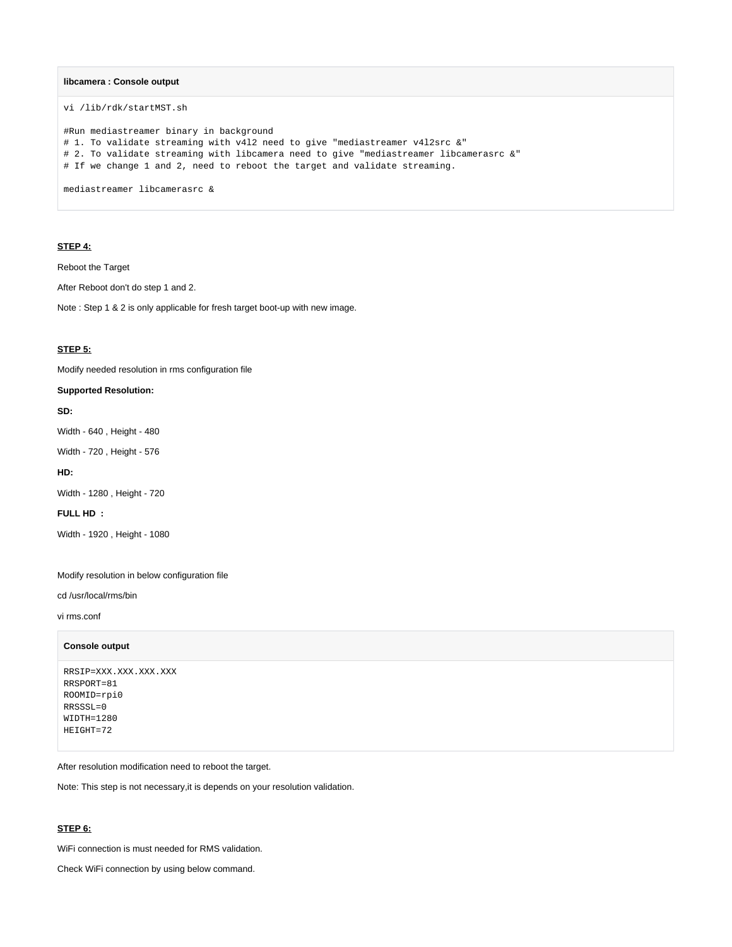#### **libcamera : Console output**

vi /lib/rdk/startMST.sh

#Run mediastreamer binary in background # 1. To validate streaming with v4l2 need to give "mediastreamer v4l2src &" # 2. To validate streaming with libcamera need to give "mediastreamer libcamerasrc &" # If we change 1 and 2, need to reboot the target and validate streaming. mediastreamer libcamerasrc &

# **STEP 4:**

Reboot the Target

After Reboot don't do step 1 and 2.

Note : Step 1 & 2 is only applicable for fresh target boot-up with new image.

# **STEP 5:**

Modify needed resolution in rms configuration file

#### **Supported Resolution:**

#### **SD:**

Width - 640 , Height - 480

Width - 720 , Height - 576

#### **HD:**

Width - 1280 , Height - 720

# **FULL HD :**

Width - 1920 , Height - 1080

Modify resolution in below configuration file

cd /usr/local/rms/bin

vi rms.conf

#### **Console output**

```
RRSIP=XXX.XXX.XXX.XXX
RRSPORT=81
ROOMID=rpi0
RRSSSL=0
WIDTH=1280
HEIGHT=72
```
After resolution modification need to reboot the target.

Note: This step is not necessary,it is depends on your resolution validation.

# **STEP 6:**

WiFi connection is must needed for RMS validation.

Check WiFi connection by using below command.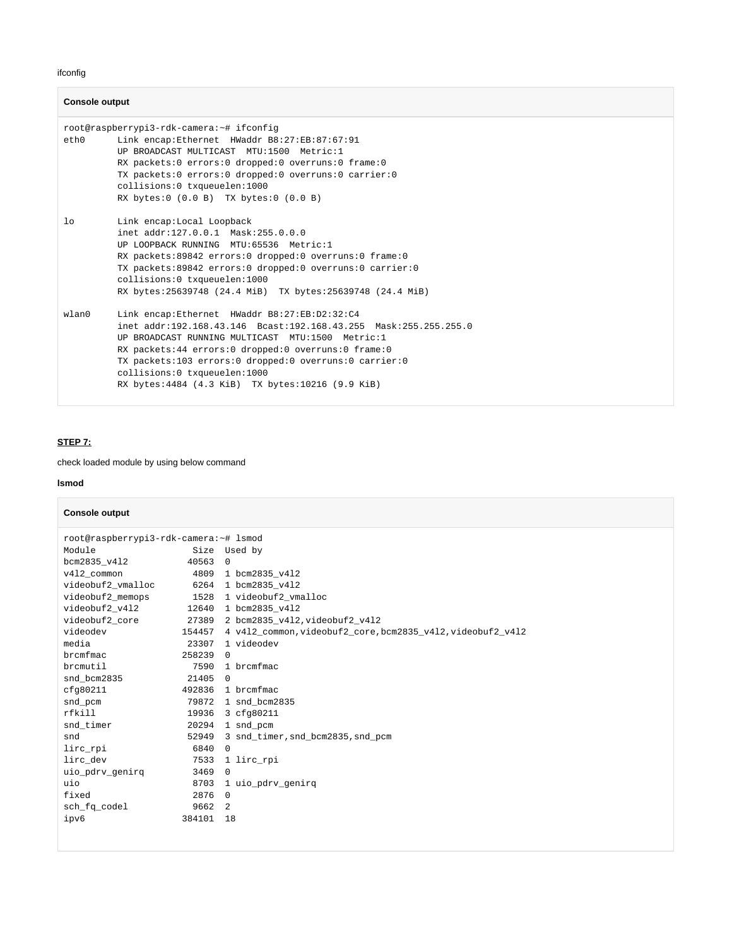ifconfig

#### **Console output**

```
root@raspberrypi3-rdk-camera:~# ifconfig
eth0 Link encap:Ethernet HWaddr B8:27:EB:87:67:91 
          UP BROADCAST MULTICAST MTU:1500 Metric:1
          RX packets:0 errors:0 dropped:0 overruns:0 frame:0
          TX packets:0 errors:0 dropped:0 overruns:0 carrier:0
          collisions:0 txqueuelen:1000 
          RX bytes:0 (0.0 B) TX bytes:0 (0.0 B)
lo Link encap:Local Loopback 
          inet addr:127.0.0.1 Mask:255.0.0.0
          UP LOOPBACK RUNNING MTU:65536 Metric:1
          RX packets:89842 errors:0 dropped:0 overruns:0 frame:0
          TX packets:89842 errors:0 dropped:0 overruns:0 carrier:0
          collisions:0 txqueuelen:1000 
          RX bytes:25639748 (24.4 MiB) TX bytes:25639748 (24.4 MiB)
wlan0 Link encap:Ethernet HWaddr B8:27:EB:D2:32:C4 
          inet addr:192.168.43.146 Bcast:192.168.43.255 Mask:255.255.255.0
          UP BROADCAST RUNNING MULTICAST MTU:1500 Metric:1
          RX packets:44 errors:0 dropped:0 overruns:0 frame:0
          TX packets:103 errors:0 dropped:0 overruns:0 carrier:0
          collisions:0 txqueuelen:1000 
          RX bytes:4484 (4.3 KiB) TX bytes:10216 (9.9 KiB)
```
# **STEP 7:**

check loaded module by using below command

#### **lsmod**

## **Console output**

| root@raspberrypi3-rdk-camera:~# lsmod<br>Module<br>Size Used by |        |                                                                   |  |  |
|-----------------------------------------------------------------|--------|-------------------------------------------------------------------|--|--|
|                                                                 |        |                                                                   |  |  |
| bcm2835 v412                                                    | 40563  | $\Omega$                                                          |  |  |
| v412 common                                                     |        | 4809 1 bcm2835 v412                                               |  |  |
| videobuf2_vmalloc 6264 1 bcm2835_v412                           |        |                                                                   |  |  |
|                                                                 |        | videobuf2_memops 1528 1 videobuf2_vmalloc                         |  |  |
|                                                                 |        |                                                                   |  |  |
|                                                                 |        |                                                                   |  |  |
| videodev                                                        |        | 154457  4  v412_common,videobuf2_core,bcm2835_v412,videobuf2_v412 |  |  |
| media                                                           | 23307  | 1 videodev                                                        |  |  |
| brcmfmac                                                        | 258239 | $\Omega$                                                          |  |  |
| brcmutil                                                        | 7590   | 1 brcmfmac                                                        |  |  |
| snd bcm2835                                                     | 21405  | $\Omega$                                                          |  |  |
| cfg80211                                                        |        | 492836 1 brcmfmac                                                 |  |  |
| snd pcm                                                         |        | 79872 1 snd bcm2835                                               |  |  |
| rfkill                                                          |        | 19936 3 cfq80211                                                  |  |  |
| snd timer                                                       |        | 20294 1 snd pcm                                                   |  |  |
| snd                                                             |        | 52949 3 snd timer, snd bcm2835, snd pcm                           |  |  |
| lirc_rpi                                                        | 6840   | $\Omega$                                                          |  |  |
| lirc dev                                                        | 7533   | 1 lirc rpi                                                        |  |  |
| uio_pdrv_genirq                                                 | 3469   | $\Omega$                                                          |  |  |
| uio                                                             | 8703   | 1 uio pdrv genirg                                                 |  |  |
| fixed                                                           | 2876   | $\Omega$                                                          |  |  |
| sch_fq_codel                                                    | 9662 2 |                                                                   |  |  |
| ipv6                                                            | 384101 | 18                                                                |  |  |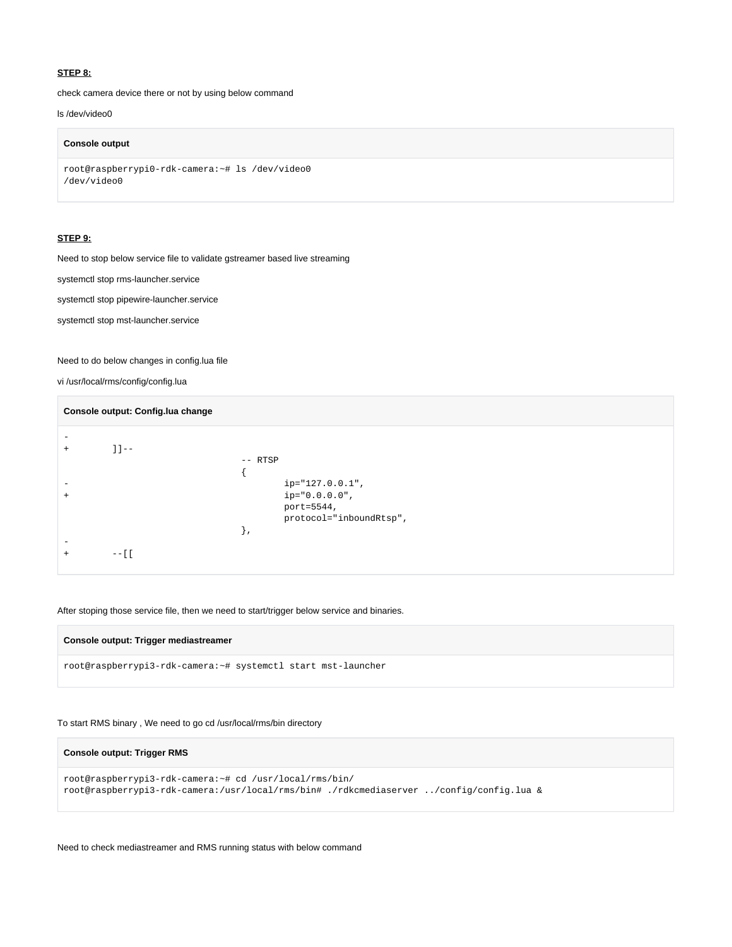#### **STEP 8:**

check camera device there or not by using below command

# ls /dev/video0

#### **Console output**

```
root@raspberrypi0-rdk-camera:~# ls /dev/video0 
/dev/video0
```
#### **STEP 9:**

Need to stop below service file to validate gstreamer based live streaming

systemctl stop rms-launcher.service

systemctl stop pipewire-launcher.service

systemctl stop mst-launcher.service

Need to do below changes in config.lua file

vi /usr/local/rms/config/config.lua

| Console output: Config.lua change |          |                                                                                        |  |
|-----------------------------------|----------|----------------------------------------------------------------------------------------|--|
| -                                 | $11 - -$ | -- RTSP                                                                                |  |
| $+$                               |          | $ip="127.0.0.1",$<br>$ip = "0.0.0.0"$ ,<br>port=5544,<br>protocol="inboundRtsp",<br>ì, |  |
|                                   | $- - 11$ |                                                                                        |  |

# After stoping those service file, then we need to start/trigger below service and binaries.

#### **Console output: Trigger mediastreamer**

root@raspberrypi3-rdk-camera:~# systemctl start mst-launcher

To start RMS binary , We need to go cd /usr/local/rms/bin directory

# **Console output: Trigger RMS**

```
root@raspberrypi3-rdk-camera:~# cd /usr/local/rms/bin/
root@raspberrypi3-rdk-camera:/usr/local/rms/bin# ./rdkcmediaserver ../config/config.lua &
```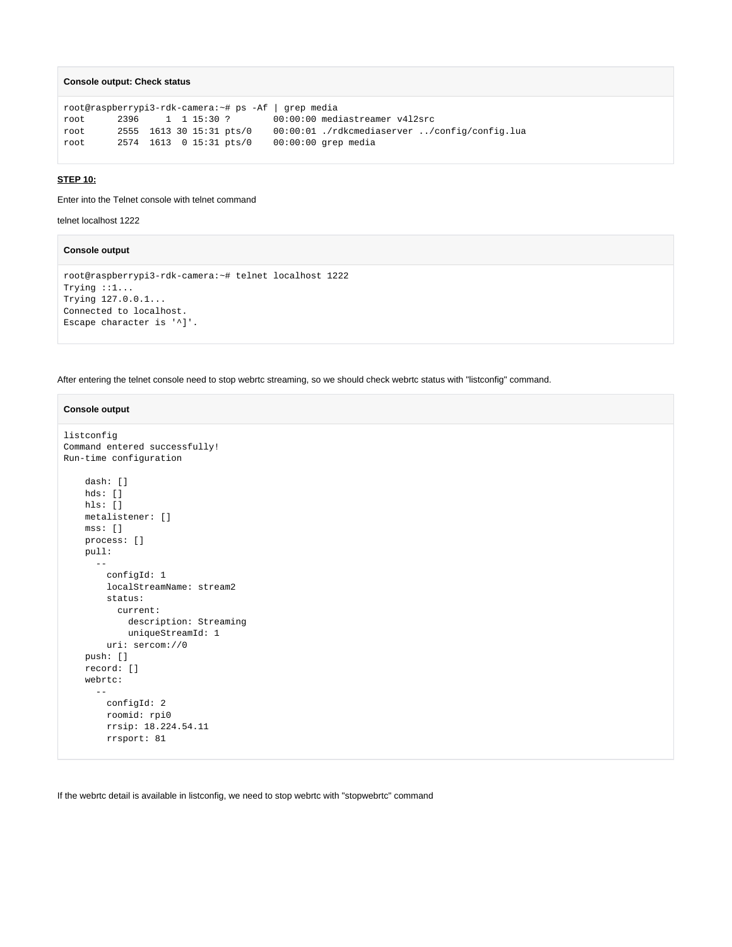```
Console output: Check status
```

```
root@raspberrypi3-rdk-camera:~# ps -Af | grep media
root 2396 1 1 15:30 ? 00:00:00 mediastreamer v4l2src
root 2555 1613 30 15:31 pts/0 00:00:01 ./rdkcmediaserver ../config/config.lua
root 2574 1613 0 15:31 pts/0 00:00:00 grep media
```
#### **STEP 10:**

Enter into the Telnet console with telnet command

telnet localhost 1222

## **Console output**

```
root@raspberrypi3-rdk-camera:~# telnet localhost 1222
Trying ::1...
Trying 127.0.0.1...
Connected to localhost.
Escape character is '^]'.
```
After entering the telnet console need to stop webrtc streaming, so we should check webrtc status with "listconfig" command.

#### **Console output**

```
listconfig
Command entered successfully!
Run-time configuration
    dash: []
    hds: []
    hls: []
     metalistener: []
    mss: []
    process: []
    pull: 
     - - configId: 1
        localStreamName: stream2
        status: 
          current: 
            description: Streaming
            uniqueStreamId: 1
        uri: sercom://0
     push: []
     record: []
     webrtc: 
 -- 
        configId: 2
        roomid: rpi0
        rrsip: 18.224.54.11
        rrsport: 81
```
If the webrtc detail is available in listconfig, we need to stop webrtc with "stopwebrtc" command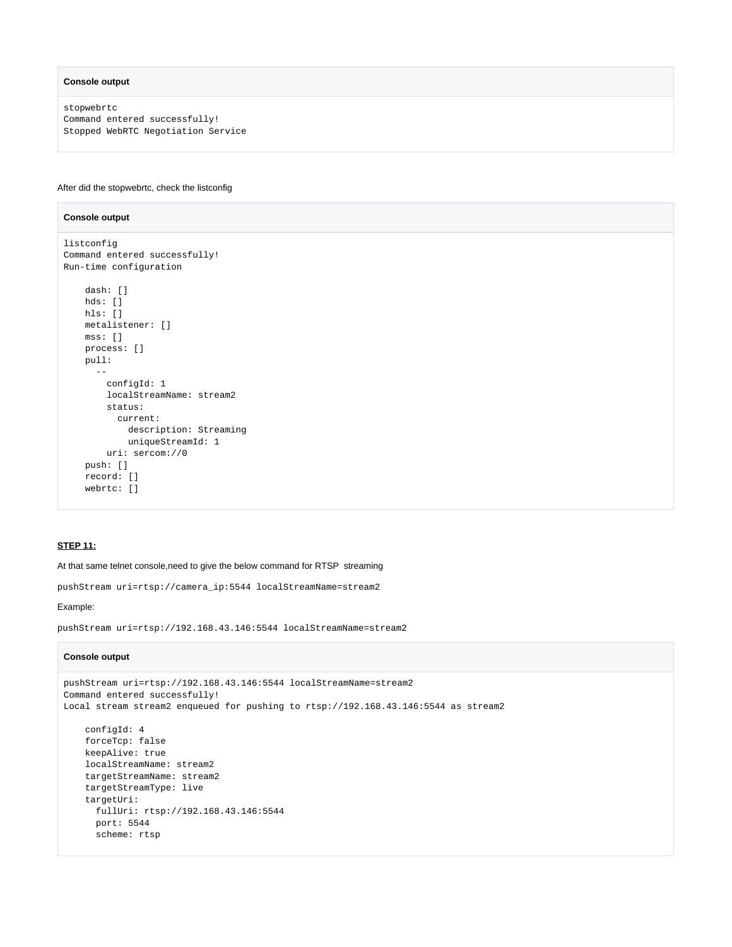#### **Console output**

**Console output**

stopwebrtc Command entered successfully! Stopped WebRTC Negotiation Service

#### After did the stopwebrtc, check the listconfig

# listconfig Command entered successfully! Run-time configuration dash: [] hds: []

```
 hls: []
    metalistener: []
    mss: []
    process: []
    pull: 
 -- 
        configId: 1
        localStreamName: stream2
        status: 
          current: 
            description: Streaming
            uniqueStreamId: 1
        uri: sercom://0
    push: []
    record: []
    webrtc: []
```
## **STEP 11:**

At that same telnet console,need to give the below command for RTSP streaming

pushStream uri=rtsp://camera\_ip:5544 localStreamName=stream2

#### Example:

pushStream uri=rtsp://192.168.43.146:5544 localStreamName=stream2

#### **Console output**

```
pushStream uri=rtsp://192.168.43.146:5544 localStreamName=stream2
Command entered successfully!
Local stream stream2 enqueued for pushing to rtsp://192.168.43.146:5544 as stream2
    configId: 4
    forceTcp: false
    keepAlive: true
    localStreamName: stream2
    targetStreamName: stream2
     targetStreamType: live
    targetUri: 
      fullUri: rtsp://192.168.43.146:5544
      port: 5544
      scheme: rtsp
```